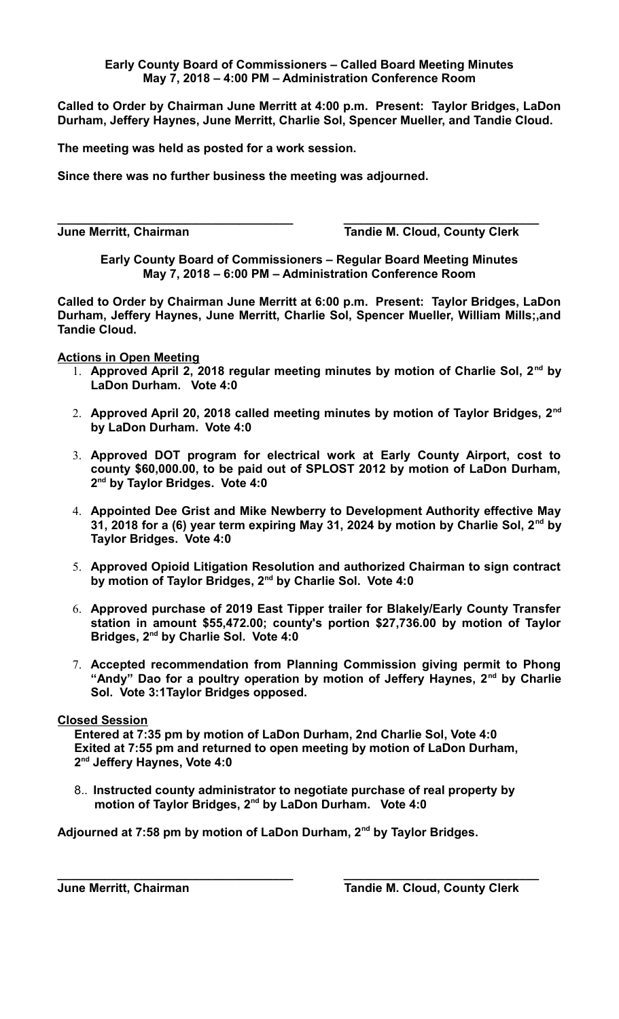## **Early County Board of Commissioners – Called Board Meeting Minutes May 7, 2018 – 4:00 PM – Administration Conference Room**

**Called to Order by Chairman June Merritt at 4:00 p.m. Present: Taylor Bridges, LaDon Durham, Jeffery Haynes, June Merritt, Charlie Sol, Spencer Mueller, and Tandie Cloud.** 

**The meeting was held as posted for a work session.**

**Since there was no further business the meeting was adjourned.**

**\_\_\_\_\_\_\_\_\_\_\_\_\_\_\_\_\_\_\_\_\_\_\_\_\_\_\_\_\_\_\_\_\_\_\_ \_\_\_\_\_\_\_\_\_\_\_\_\_\_\_\_\_\_\_\_\_\_\_\_\_\_\_\_\_ June Merritt, Chairman Tandie M. Cloud, County Clerk**

**Early County Board of Commissioners – Regular Board Meeting Minutes May 7, 2018 – 6:00 PM – Administration Conference Room**

**Called to Order by Chairman June Merritt at 6:00 p.m. Present: Taylor Bridges, LaDon Durham, Jeffery Haynes, June Merritt, Charlie Sol, Spencer Mueller, William Mills;,and Tandie Cloud.** 

**Actions in Open Meeting**

- 1. **Approved April 2, 2018 regular meeting minutes by motion of Charlie Sol, 2nd by LaDon Durham. Vote 4:0**
- 2. **Approved April 20, 2018 called meeting minutes by motion of Taylor Bridges, 2nd by LaDon Durham. Vote 4:0**
- 3. **Approved DOT program for electrical work at Early County Airport, cost to county \$60,000.00, to be paid out of SPLOST 2012 by motion of LaDon Durham, 2 nd by Taylor Bridges. Vote 4:0**
- 4. **Appointed Dee Grist and Mike Newberry to Development Authority effective May 31, 2018 for a (6) year term expiring May 31, 2024 by motion by Charlie Sol, 2nd by Taylor Bridges. Vote 4:0**
- 5. **Approved Opioid Litigation Resolution and authorized Chairman to sign contract by motion of Taylor Bridges, 2nd by Charlie Sol. Vote 4:0**
- 6. **Approved purchase of 2019 East Tipper trailer for Blakely/Early County Transfer station in amount \$55,472.00; county's portion \$27,736.00 by motion of Taylor Bridges, 2nd by Charlie Sol. Vote 4:0**
- 7. **Accepted recommendation from Planning Commission giving permit to Phong "Andy" Dao for a poultry operation by motion of Jeffery Haynes, 2nd by Charlie Sol. Vote 3:1Taylor Bridges opposed.**

## **Closed Session**

 **Entered at 7:35 pm by motion of LaDon Durham, 2nd Charlie Sol, Vote 4:0 Exited at 7:55 pm and returned to open meeting by motion of LaDon Durham, 2nd Jeffery Haynes, Vote 4:0**

8.. **Instructed county administrator to negotiate purchase of real property by motion of Taylor Bridges, 2nd by LaDon Durham. Vote 4:0**

**\_\_\_\_\_\_\_\_\_\_\_\_\_\_\_\_\_\_\_\_\_\_\_\_\_\_\_\_\_\_\_\_\_\_\_ \_\_\_\_\_\_\_\_\_\_\_\_\_\_\_\_\_\_\_\_\_\_\_\_\_\_\_\_\_**

**Adjourned at 7:58 pm by motion of LaDon Durham, 2nd by Taylor Bridges.**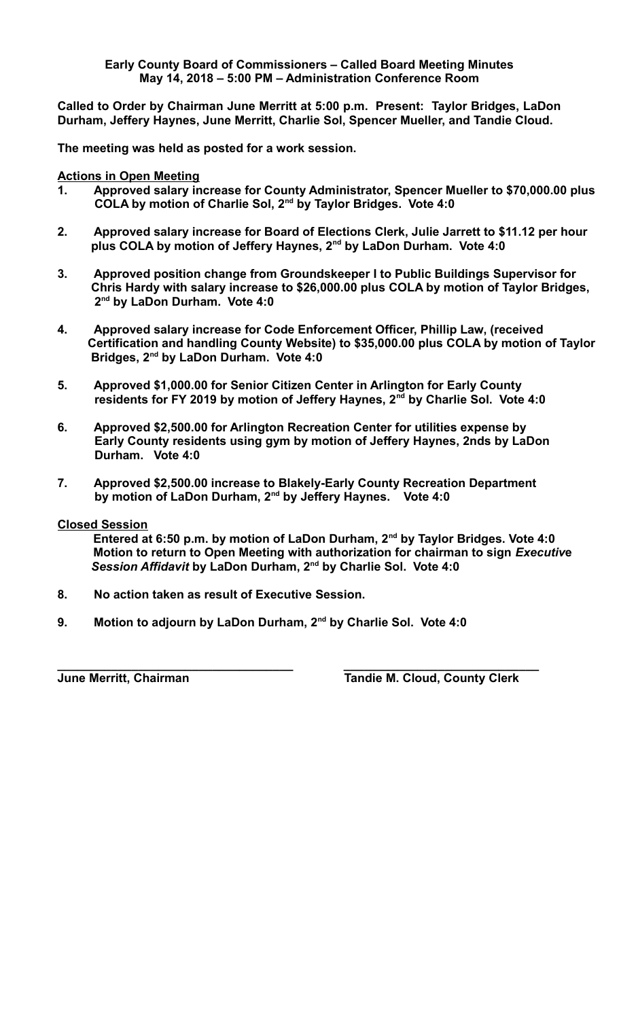## **Early County Board of Commissioners – Called Board Meeting Minutes May 14, 2018 – 5:00 PM – Administration Conference Room**

**Called to Order by Chairman June Merritt at 5:00 p.m. Present: Taylor Bridges, LaDon Durham, Jeffery Haynes, June Merritt, Charlie Sol, Spencer Mueller, and Tandie Cloud.** 

**The meeting was held as posted for a work session.**

**Actions in Open Meeting**

- **1. Approved salary increase for County Administrator, Spencer Mueller to \$70,000.00 plus COLA by motion of Charlie Sol, 2nd by Taylor Bridges. Vote 4:0**
- **2. Approved salary increase for Board of Elections Clerk, Julie Jarrett to \$11.12 per hour plus COLA by motion of Jeffery Haynes, 2nd by LaDon Durham. Vote 4:0**
- **3. Approved position change from Groundskeeper I to Public Buildings Supervisor for Chris Hardy with salary increase to \$26,000.00 plus COLA by motion of Taylor Bridges, 2nd by LaDon Durham. Vote 4:0**
- **4. Approved salary increase for Code Enforcement Officer, Phillip Law, (received Certification and handling County Website) to \$35,000.00 plus COLA by motion of Taylor Bridges, 2nd by LaDon Durham. Vote 4:0**
- **5. Approved \$1,000.00 for Senior Citizen Center in Arlington for Early County residents for FY 2019 by motion of Jeffery Haynes, 2nd by Charlie Sol. Vote 4:0**
- **6. Approved \$2,500.00 for Arlington Recreation Center for utilities expense by Early County residents using gym by motion of Jeffery Haynes, 2nds by LaDon Durham. Vote 4:0**
- **7. Approved \$2,500.00 increase to Blakely-Early County Recreation Department by motion of LaDon Durham, 2nd by Jeffery Haynes. Vote 4:0**

**Closed Session**

**Entered at 6:50 p.m. by motion of LaDon Durham, 2nd by Taylor Bridges. Vote 4:0 Motion to return to Open Meeting with authorization for chairman to sign** *Executiv***e** *Session Affidavit* **by LaDon Durham, 2nd by Charlie Sol. Vote 4:0**

- **8. No action taken as result of Executive Session.**
- **9. Motion to adjourn by LaDon Durham, 2nd by Charlie Sol. Vote 4:0**

**\_\_\_\_\_\_\_\_\_\_\_\_\_\_\_\_\_\_\_\_\_\_\_\_\_\_\_\_\_\_\_\_\_\_\_ \_\_\_\_\_\_\_\_\_\_\_\_\_\_\_\_\_\_\_\_\_\_\_\_\_\_\_\_\_ June Merritt, Chairman Tandie M. Cloud, County Clerk**